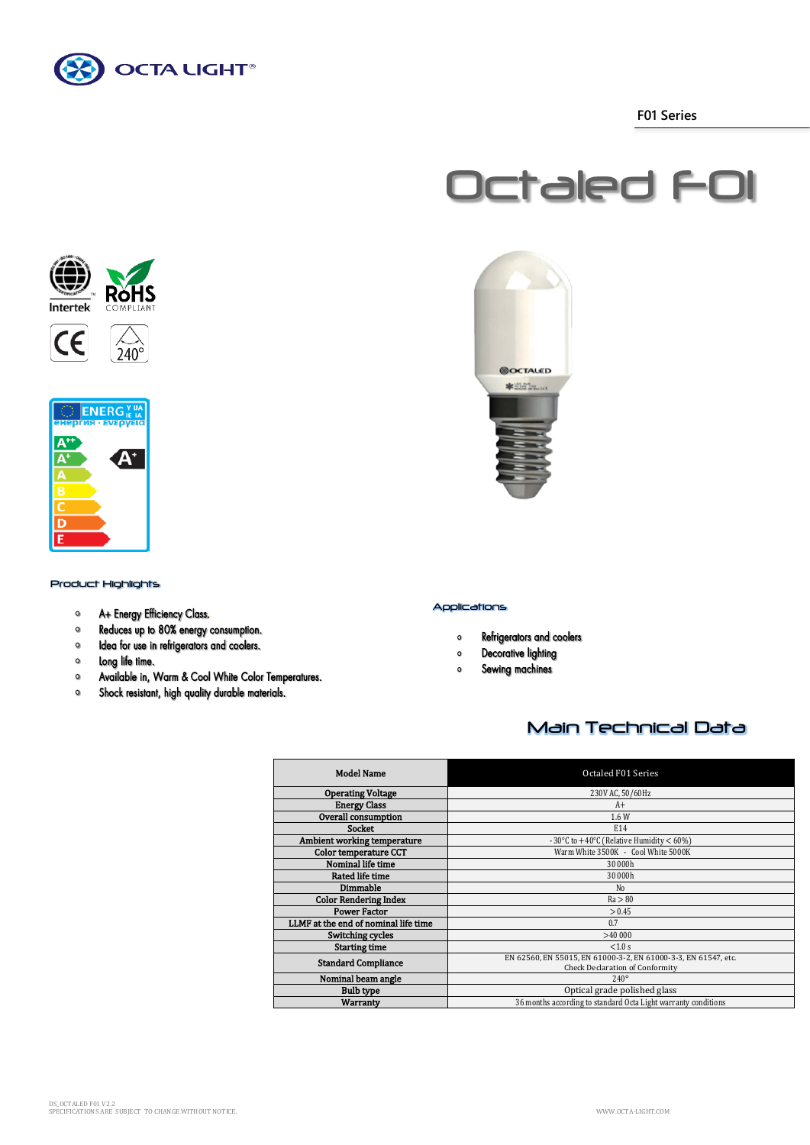

 **F01 Series**







## Product Highlights

- A+ Energy Efficiency Class.  $\circ$
- Reduces up to 80% energy consumption.  $\bullet$
- Idea for use in refrigerators and coolers.  $\bullet$
- $\circ$ Long life time.
- $\bullet$ Available in, Warm & Cool White Color Temperatures.
- $\bullet$ Shock resistant, high quality durable materials.



## Applications

- Refrigerators and coolers  $\bullet$
- **Decorative lighting**  $\bullet$
- Sewing machines  $\bullet$

# Main Technical Data

| <b>Model Name</b>                    | Octaled F01 Series                                                                                       |
|--------------------------------------|----------------------------------------------------------------------------------------------------------|
| <b>Operating Voltage</b>             | 230V AC, 50/60Hz                                                                                         |
| <b>Energy Class</b>                  | A+                                                                                                       |
| Overall consumption                  | 1.6 W                                                                                                    |
| <b>Socket</b>                        | E14                                                                                                      |
| Ambient working temperature          | - 30°C to $+40$ °C (Relative Humidity < 60%)                                                             |
| Color temperature CCT                | Warm White 3500K - Cool White 5000K                                                                      |
| Nominal life time                    | 30 000h                                                                                                  |
| <b>Rated life time</b>               | 30 000h                                                                                                  |
| Dimmable                             | N <sub>0</sub>                                                                                           |
| <b>Color Rendering Index</b>         | Ra > 80                                                                                                  |
| <b>Power Factor</b>                  | > 0.45                                                                                                   |
| LLMF at the end of nominal life time | 0.7                                                                                                      |
| Switching cycles                     | >40,000                                                                                                  |
| <b>Starting time</b>                 | < 1.0 s                                                                                                  |
| <b>Standard Compliance</b>           | EN 62560, EN 55015, EN 61000-3-2, EN 61000-3-3, EN 61547, etc.<br><b>Check Declaration of Conformity</b> |
| Nominal beam angle                   | $240^\circ$                                                                                              |
| <b>Bulb type</b>                     | Optical grade polished glass                                                                             |
| <b>Warranty</b>                      | 36 months according to standard Octa Light warranty conditions                                           |